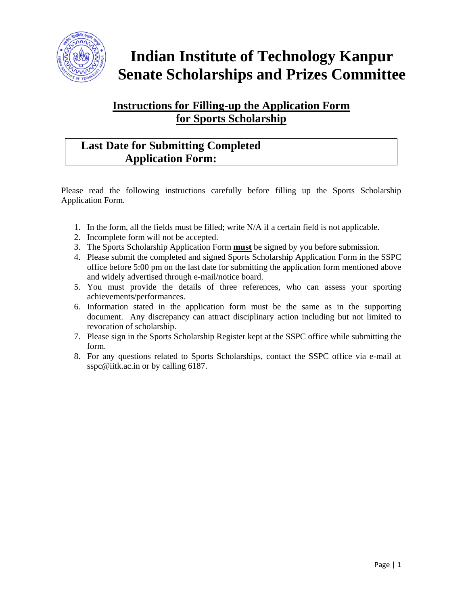

# **Indian Institute of Technology Kanpur Senate Scholarships and Prizes Committee**

## **Instructions for Filling-up the Application Form for Sports Scholarship**

## **Last Date for Submitting Completed Application Form:**

Please read the following instructions carefully before filling up the Sports Scholarship Application Form.

- 1. In the form, all the fields must be filled; write N/A if a certain field is not applicable.
- 2. Incomplete form will not be accepted.
- 3. The Sports Scholarship Application Form **must** be signed by you before submission.
- 4. Please submit the completed and signed Sports Scholarship Application Form in the SSPC office before 5:00 pm on the last date for submitting the application form mentioned above and widely advertised through e-mail/notice board.
- 5. You must provide the details of three references, who can assess your sporting achievements/performances.
- 6. Information stated in the application form must be the same as in the supporting document. Any discrepancy can attract disciplinary action including but not limited to revocation of scholarship.
- 7. Please sign in the Sports Scholarship Register kept at the SSPC office while submitting the form.
- 8. For any questions related to Sports Scholarships, contact the SSPC office via e-mail at sspc@iitk.ac.in or by calling 6187.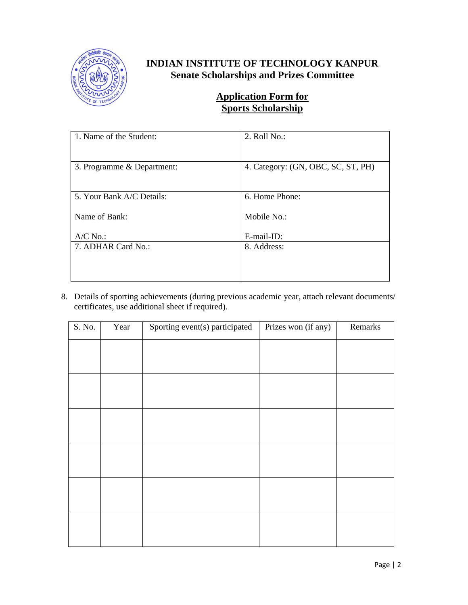

#### **INDIAN INSTITUTE OF TECHNOLOGY KANPUR Senate Scholarships and Prizes Committee**

#### **Application Form for Sports Scholarship**

| 1. Name of the Student:    | 2. Roll No.:                       |
|----------------------------|------------------------------------|
| 3. Programme & Department: | 4. Category: (GN, OBC, SC, ST, PH) |
| 5. Your Bank A/C Details:  | 6. Home Phone:                     |
| Name of Bank:              | Mobile No.:                        |
| $A/C$ No.:                 | E-mail-ID:                         |
| 7. ADHAR Card No.:         | 8. Address:                        |
|                            |                                    |
|                            |                                    |

8. Details of sporting achievements (during previous academic year, attach relevant documents/ certificates, use additional sheet if required).

| S. No. | Year | Sporting event(s) participated | Prizes won (if any) | Remarks |
|--------|------|--------------------------------|---------------------|---------|
|        |      |                                |                     |         |
|        |      |                                |                     |         |
|        |      |                                |                     |         |
|        |      |                                |                     |         |
|        |      |                                |                     |         |
|        |      |                                |                     |         |
|        |      |                                |                     |         |
|        |      |                                |                     |         |
|        |      |                                |                     |         |
|        |      |                                |                     |         |
|        |      |                                |                     |         |
|        |      |                                |                     |         |